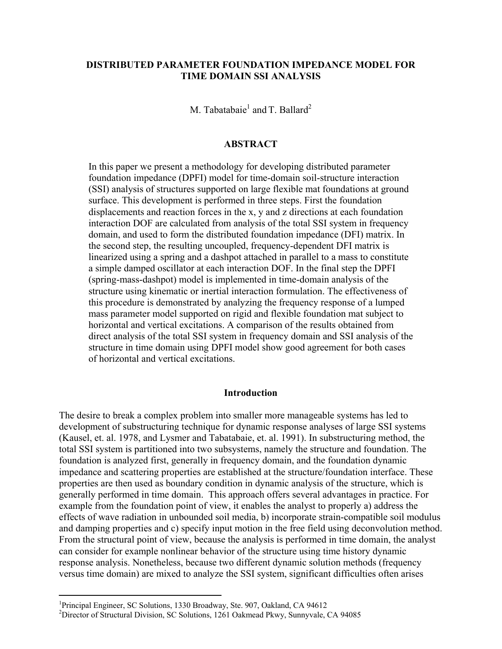# **DISTRIBUTED PARAMETER FOUNDATION IMPEDANCE MODEL FOR TIME DOMAIN SSI ANALYSIS**

M. Tabatabaie<sup>1</sup> and T. Ballard<sup>2</sup>

# **ABSTRACT**

In this paper we present a methodology for developing distributed parameter foundation impedance (DPFI) model for time-domain soil-structure interaction (SSI) analysis of structures supported on large flexible mat foundations at ground surface. This development is performed in three steps. First the foundation displacements and reaction forces in the x, y and z directions at each foundation interaction DOF are calculated from analysis of the total SSI system in frequency domain, and used to form the distributed foundation impedance (DFI) matrix. In the second step, the resulting uncoupled, frequency-dependent DFI matrix is linearized using a spring and a dashpot attached in parallel to a mass to constitute a simple damped oscillator at each interaction DOF. In the final step the DPFI (spring-mass-dashpot) model is implemented in time-domain analysis of the structure using kinematic or inertial interaction formulation. The effectiveness of this procedure is demonstrated by analyzing the frequency response of a lumped mass parameter model supported on rigid and flexible foundation mat subject to horizontal and vertical excitations. A comparison of the results obtained from direct analysis of the total SSI system in frequency domain and SSI analysis of the structure in time domain using DPFI model show good agreement for both cases of horizontal and vertical excitations.

# **Introduction**

The desire to break a complex problem into smaller more manageable systems has led to development of substructuring technique for dynamic response analyses of large SSI systems (Kausel, et. al. 1978, and Lysmer and Tabatabaie, et. al. 1991). In substructuring method, the total SSI system is partitioned into two subsystems, namely the structure and foundation. The foundation is analyzed first, generally in frequency domain, and the foundation dynamic impedance and scattering properties are established at the structure/foundation interface. These properties are then used as boundary condition in dynamic analysis of the structure, which is generally performed in time domain. This approach offers several advantages in practice. For example from the foundation point of view, it enables the analyst to properly a) address the effects of wave radiation in unbounded soil media, b) incorporate strain-compatible soil modulus and damping properties and c) specify input motion in the free field using deconvolution method. From the structural point of view, because the analysis is performed in time domain, the analyst can consider for example nonlinear behavior of the structure using time history dynamic response analysis. Nonetheless, because two different dynamic solution methods (frequency versus time domain) are mixed to analyze the SSI system, significant difficulties often arises

<sup>&</sup>lt;sup>1</sup>Principal Engineer, SC Solutions, 1330 Broadway, Ste. 907, Oakland, CA 94612

<sup>&</sup>lt;sup>2</sup>Director of Structural Division, SC Solutions, 1261 Oakmead Pkwy, Sunnyvale, CA 94085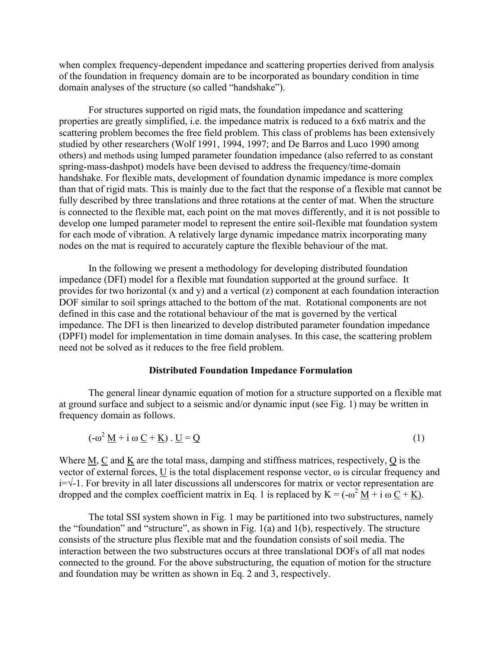when complex frequency-dependent impedance and scattering properties derived from analysis of the foundation in frequency domain are to be incorporated as boundary condition in time domain analyses of the structure (so called "handshake").

 For structures supported on rigid mats, the foundation impedance and scattering properties are greatly simplified, i.e. the impedance matrix is reduced to a 6x6 matrix and the scattering problem becomes the free field problem. This class of problems has been extensively studied by other researchers (Wolf 1991, 1994, 1997; and De Barros and Luco 1990 among others) and methods using lumped parameter foundation impedance (also referred to as constant spring-mass-dashpot) models have been devised to address the frequency/time-domain handshake. For flexible mats, development of foundation dynamic impedance is more complex than that of rigid mats. This is mainly due to the fact that the response of a flexible mat cannot be fully described by three translations and three rotations at the center of mat. When the structure is connected to the flexible mat, each point on the mat moves differently, and it is not possible to develop one lumped parameter model to represent the entire soil-flexible mat foundation system for each mode of vibration. A relatively large dynamic impedance matrix incorporating many nodes on the mat is required to accurately capture the flexible behaviour of the mat.

In the following we present a methodology for developing distributed foundation impedance (DFI) model for a flexible mat foundation supported at the ground surface. It provides for two horizontal (x and y) and a vertical (z) component at each foundation interaction DOF similar to soil springs attached to the bottom of the mat. Rotational components are not defined in this case and the rotational behaviour of the mat is governed by the vertical impedance. The DFI is then linearized to develop distributed parameter foundation impedance (DPFI) model for implementation in time domain analyses. In this case, the scattering problem need not be solved as it reduces to the free field problem.

## **Distributed Foundation Impedance Formulation**

The general linear dynamic equation of motion for a structure supported on a flexible mat at ground surface and subject to a seismic and/or dynamic input (see Fig. 1) may be written in frequency domain as follows.

$$
(-\omega^2 \underline{M} + i \omega \underline{C} + \underline{K}) \cdot \underline{U} = \underline{Q}
$$
 (1)

Where M, C and K are the total mass, damping and stiffness matrices, respectively, Q is the vector of external forces,  $\underline{U}$  is the total displacement response vector,  $\omega$  is circular frequency and i=√-1. For brevity in all later discussions all underscores for matrix or vector representation are dropped and the complex coefficient matrix in Eq. 1 is replaced by  $K = (-\omega^2 \underline{M} + i \omega \underline{C} + \underline{K})$ .

The total SSI system shown in Fig. 1 may be partitioned into two substructures, namely the "foundation" and "structure", as shown in Fig.  $1(a)$  and  $1(b)$ , respectively. The structure consists of the structure plus flexible mat and the foundation consists of soil media. The interaction between the two substructures occurs at three translational DOFs of all mat nodes connected to the ground. For the above substructuring, the equation of motion for the structure and foundation may be written as shown in Eq. 2 and 3, respectively.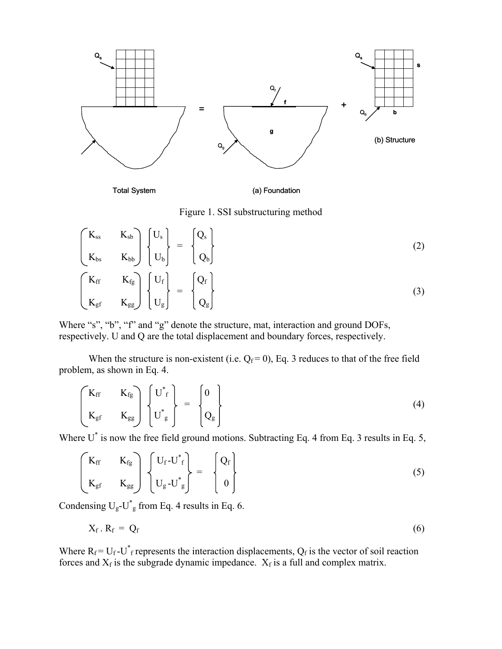

Total System (a) Foundation

Figure 1. SSI substructuring method

$$
\begin{bmatrix}\nK_{ss} & K_{sb} \\
K_{bs} & K_{bb}\n\end{bmatrix}\n\begin{bmatrix}\nU_s \\
U_b\n\end{bmatrix} =\n\begin{bmatrix}\nQ_s \\
Q_b\n\end{bmatrix}
$$
\n(2)\n
$$
\begin{bmatrix}\nK_{ff} & K_{fg} \\
K_{gf} & K_{gg}\n\end{bmatrix}\n\begin{bmatrix}\nU_f \\
U_g\n\end{bmatrix} =\n\begin{bmatrix}\nQ_f \\
Q_g\n\end{bmatrix}
$$
\n(3)

Where "s", "b", "f" and "g" denote the structure, mat, interaction and ground DOFs, respectively. U and Q are the total displacement and boundary forces, respectively.

When the structure is non-existent (i.e.  $Q_f = 0$ ), Eq. 3 reduces to that of the free field problem, as shown in Eq. 4.

$$
\begin{pmatrix}\nK_{\rm ff} & K_{\rm fg} \\
K_{\rm gf} & K_{\rm gg}\n\end{pmatrix}\n\begin{pmatrix}\nU^*_{\rm f} \\
U^*_{\rm g}\n\end{pmatrix} =\n\begin{pmatrix}\n0 \\
Q_{\rm g}\n\end{pmatrix}
$$
\n(4)

Where  $U^*$  is now the free field ground motions. Subtracting Eq. 4 from Eq. 3 results in Eq. 5,

$$
\begin{bmatrix}\nK_{\rm ff} & K_{\rm fg} \\
K_{\rm gf} & K_{\rm gg}\n\end{bmatrix}\n\begin{Bmatrix}\nU_{\rm f} - U_{\rm f}^* \\
U_{\rm g} - U_{\rm g}^*\n\end{Bmatrix} =\n\begin{Bmatrix}\nQ_{\rm f} \\
0\n\end{Bmatrix}
$$
\n(5)

Condensing  $U_g-U^*$  from Eq. 4 results in Eq. 6.

$$
X_f R_f = Q_f \tag{6}
$$

Where  $R_f = U_f - U_f^*$  represents the interaction displacements,  $Q_f$  is the vector of soil reaction forces and  $X_f$  is the subgrade dynamic impedance.  $X_f$  is a full and complex matrix.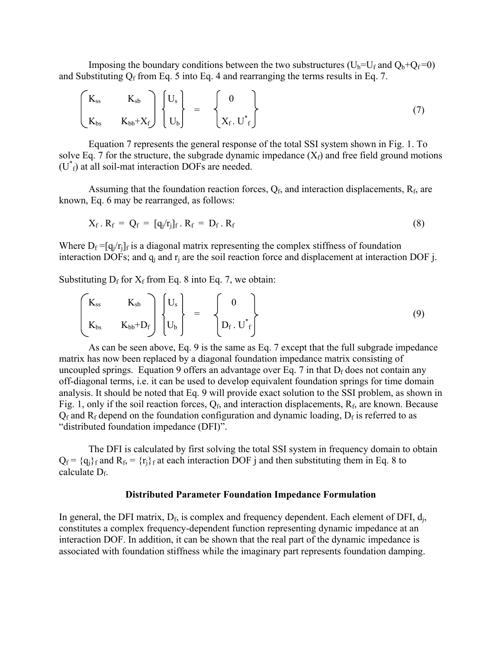Imposing the boundary conditions between the two substructures ( $U_b=U_f$  and  $Q_b+Q_f=0$ ) and Substituting  $Q_f$  from Eq. 5 into Eq. 4 and rearranging the terms results in Eq. 7.

$$
\begin{pmatrix} K_{ss} & K_{sb} \\ K_{bs} & K_{bb}+X_f \end{pmatrix} \begin{Bmatrix} U_s \\ U_b \end{Bmatrix} = \begin{Bmatrix} 0 \\ X_f. U^*_{f} \end{Bmatrix}
$$
 (7)

Equation 7 represents the general response of the total SSI system shown in Fig. 1. To solve Eq. 7 for the structure, the subgrade dynamic impedance  $(X_f)$  and free field ground motions  $(U^*_{f})$  at all soil-mat interaction DOFs are needed.

Assuming that the foundation reaction forces,  $Q_f$ , and interaction displacements,  $R_f$ , are known, Eq. 6 may be rearranged, as follows:

$$
X_f \cdot R_f = Q_f = [q_j/r_j]_f \cdot R_f = D_f \cdot R_f \tag{8}
$$

Where  $D_f = [q_i/r_i]_f$  is a diagonal matrix representing the complex stiffness of foundation interaction DOFs; and  $q_i$  and  $r_i$  are the soil reaction force and displacement at interaction DOF j.

Substituting  $D_f$  for  $X_f$  from Eq. 8 into Eq. 7, we obtain:

$$
\begin{bmatrix}\nK_{ss} & K_{sb} \\
K_{bs} & K_{bb}+D_f\n\end{bmatrix}\n\begin{bmatrix}\nU_s \\
U_b\n\end{bmatrix} = \n\begin{bmatrix}\n0 \\
D_f \cdot U_f^*\n\end{bmatrix}
$$
\n(9)

As can be seen above, Eq. 9 is the same as Eq. 7 except that the full subgrade impedance matrix has now been replaced by a diagonal foundation impedance matrix consisting of uncoupled springs. Equation 9 offers an advantage over Eq. 7 in that  $D_f$  does not contain any off-diagonal terms, i.e. it can be used to develop equivalent foundation springs for time domain analysis. It should be noted that Eq. 9 will provide exact solution to the SSI problem, as shown in Fig. 1, only if the soil reaction forces,  $Q_f$ , and interaction displacements,  $R_f$ , are known. Because  $Q_f$  and R<sub>f</sub> depend on the foundation configuration and dynamic loading,  $D_f$  is referred to as "distributed foundation impedance (DFI)".

The DFI is calculated by first solving the total SSI system in frequency domain to obtain  $Q_f = \{q_i\}_f$  and  $R_f = \{r_i\}_f$  at each interaction DOF j and then substituting them in Eq. 8 to calculate  $D_f$ .

# **Distributed Parameter Foundation Impedance Formulation**

In general, the DFI matrix,  $D_f$ , is complex and frequency dependent. Each element of DFI,  $d_i$ , constitutes a complex frequency-dependent function representing dynamic impedance at an interaction DOF. In addition, it can be shown that the real part of the dynamic impedance is associated with foundation stiffness while the imaginary part represents foundation damping.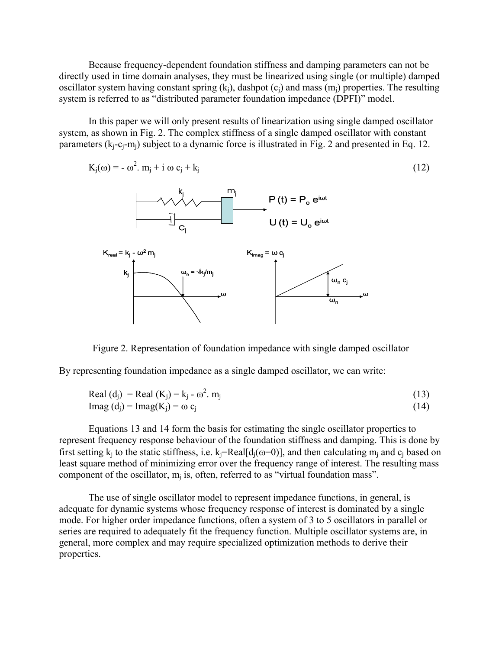Because frequency-dependent foundation stiffness and damping parameters can not be directly used in time domain analyses, they must be linearized using single (or multiple) damped oscillator system having constant spring  $(k<sub>i</sub>)$ , dashpot  $(c<sub>i</sub>)$  and mass  $(m<sub>i</sub>)$  properties. The resulting system is referred to as "distributed parameter foundation impedance (DPFI)" model.

In this paper we will only present results of linearization using single damped oscillator system, as shown in Fig. 2. The complex stiffness of a single damped oscillator with constant parameters  $(k_i-c_i-m_i)$  subject to a dynamic force is illustrated in Fig. 2 and presented in Eq. 12.

$$
K_j(\omega) = -\omega^2. m_j + i \omega c_j + k_j \tag{12}
$$



Figure 2. Representation of foundation impedance with single damped oscillator

By representing foundation impedance as a single damped oscillator, we can write:

Real (d<sub>j</sub>) = Real (K<sub>j</sub>) = k<sub>j</sub> - 
$$
\omega^2
$$
. m<sub>j</sub> (13)  
Imag (d<sub>i</sub>) = Imag(K<sub>i</sub>) =  $\omega$  c<sub>i</sub> (14)

Equations 13 and 14 form the basis for estimating the single oscillator properties to represent frequency response behaviour of the foundation stiffness and damping. This is done by first setting  $k_i$  to the static stiffness, i.e.  $k_i=Real[d_i(\omega=0)]$ , and then calculating  $m_i$  and  $c_i$  based on least square method of minimizing error over the frequency range of interest. The resulting mass component of the oscillator,  $m_i$  is, often, referred to as "virtual foundation mass".

The use of single oscillator model to represent impedance functions, in general, is adequate for dynamic systems whose frequency response of interest is dominated by a single mode. For higher order impedance functions, often a system of 3 to 5 oscillators in parallel or series are required to adequately fit the frequency function. Multiple oscillator systems are, in general, more complex and may require specialized optimization methods to derive their properties.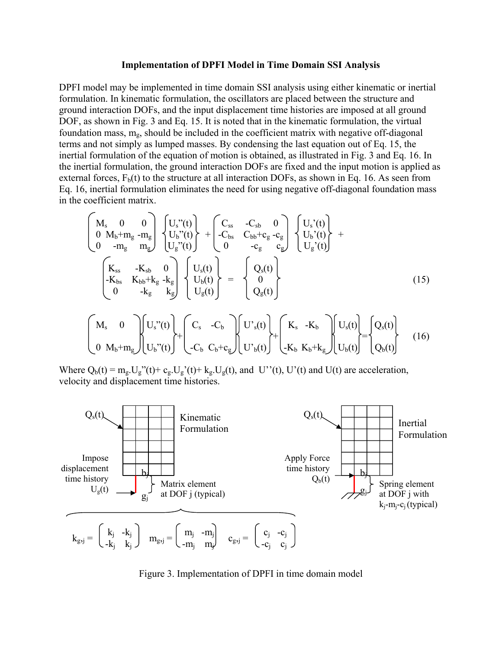#### **Implementation of DPFI Model in Time Domain SSI Analysis**

DPFI model may be implemented in time domain SSI analysis using either kinematic or inertial formulation. In kinematic formulation, the oscillators are placed between the structure and ground interaction DOFs, and the input displacement time histories are imposed at all ground DOF, as shown in Fig. 3 and Eq. 15. It is noted that in the kinematic formulation, the virtual foundation mass,  $m_{g}$ , should be included in the coefficient matrix with negative off-diagonal terms and not simply as lumped masses. By condensing the last equation out of Eq. 15, the inertial formulation of the equation of motion is obtained, as illustrated in Fig. 3 and Eq. 16. In the inertial formulation, the ground interaction DOFs are fixed and the input motion is applied as external forces,  $F<sub>b</sub>(t)$  to the structure at all interaction DOFs, as shown in Eq. 16. As seen from Eq. 16, inertial formulation eliminates the need for using negative off-diagonal foundation mass in the coefficient matrix.

$$
\begin{pmatrix}\nM_s & 0 & 0 \\
0 & M_b + m_g - m_g \\
0 & -m_g - m_g\n\end{pmatrix}\n\begin{pmatrix}\nU_s''(t) \\
U_b''(t)\n\end{pmatrix} +\n\begin{pmatrix}\nC_{ss} & -C_{sb} & 0 \\
-C_{bs} & C_{bb} + c_g - c_g \\
0 & -c_g - c_g\n\end{pmatrix}\n\begin{pmatrix}\nU_s'(t) \\
U_b'(t)\n\end{pmatrix} +\n\begin{pmatrix}\nK_{ss} & -K_{sb} & 0 \\
-K_{bs} & K_{bb} + k_g - k_g \\
0 & -k_g - k_g\n\end{pmatrix}\n\begin{pmatrix}\nU_s(t) \\
U_b(t)\n\end{pmatrix} =\n\begin{pmatrix}\nQ_s(t) \\
0 \\
Q_g(t)\n\end{pmatrix}
$$
\n(15)\n
$$
\begin{pmatrix}\nM_s & 0 & \bigg| U_s''(t) \bigg| \cdot U_s''(t) \bigg| \cdot \bigg| C_s - C_b \n\end{pmatrix}\n\begin{pmatrix}\nC_s & -C_b & \bigg| U_s(t) \bigg| \cdot \bigg| \cdot K_s - K_b \n\end{pmatrix}\n\begin{pmatrix}\nU_s(t) \\
U_s(t) \bigg| \cdot \bigg| \cdot \bigg| \cdot \bigg| \cdot \bigg| \cdot \bigg| \cdot \bigg| \cdot \bigg| \cdot \bigg| \cdot \bigg| \cdot \bigg| \cdot \bigg| \cdot \bigg| \cdot \bigg| \cdot \bigg| \cdot \bigg| \cdot \bigg| \cdot \bigg| \cdot \bigg| \cdot \bigg| \cdot \bigg| \cdot \bigg| \cdot \bigg| \cdot \bigg| \cdot \bigg| \cdot \bigg| \cdot \bigg| \cdot \bigg| \cdot \bigg| \cdot \bigg| \cdot \bigg| \cdot \bigg| \cdot \bigg| \cdot \bigg| \cdot \bigg| \cdot \bigg| \cdot \bigg| \cdot \bigg| \cdot \bigg| \cdot \bigg| \cdot \bigg| \cdot \bigg| \cdot \bigg| \cdot \bigg| \cdot \bigg| \cdot \bigg| \cdot \bigg| \cdot \bigg| \cdot \bigg| \cdot \bigg| \cdot \bigg| \cdot \bigg| \cdot \bigg| \cdot \bigg| \cdot \bigg| \cdot \bigg| \cdot \bigg| \cdot \bigg| \cdot \bigg| \cdot \bigg| \cdot \bigg| \cdot
$$

$$
\begin{bmatrix} M_s & 0 \ 0 & M_b + m_g \end{bmatrix} \begin{bmatrix} U_s''(t) \ U_b''(t) \end{bmatrix} + \begin{bmatrix} C_s & -C_b \ -C_b & C_b + c_g \end{bmatrix} \begin{bmatrix} U'_s(t) \ U'_b(t) \end{bmatrix} + \begin{bmatrix} K_s & -K_b \ -K_b & K_b + k_g \end{bmatrix} \begin{bmatrix} U_s(t) \ U_b(t) \end{bmatrix} = \begin{bmatrix} Q_s(t) \ Q_b(t) \end{bmatrix}
$$
(16)

Where  $Q_b(t) = m_g U_g''(t) + c_g U_g'(t) + k_g U_g(t)$ , and U''(t), U'(t) and U(t) are acceleration, velocity and displacement time histories.



Figure 3. Implementation of DPFI in time domain model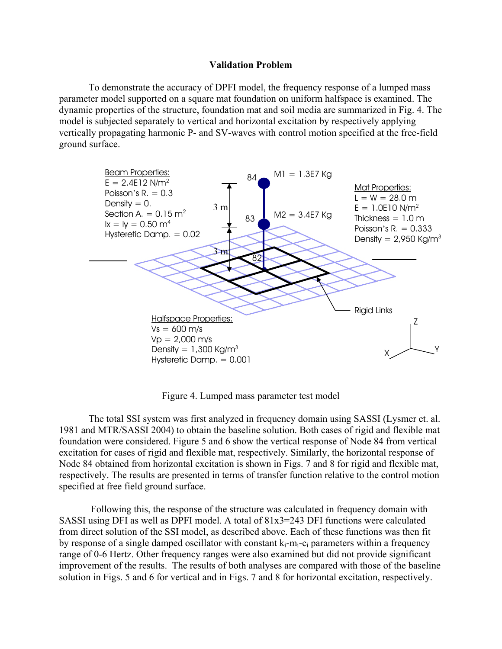# **Validation Problem**

To demonstrate the accuracy of DPFI model, the frequency response of a lumped mass parameter model supported on a square mat foundation on uniform halfspace is examined. The dynamic properties of the structure, foundation mat and soil media are summarized in Fig. 4. The model is subjected separately to vertical and horizontal excitation by respectively applying vertically propagating harmonic P- and SV-waves with control motion specified at the free-field ground surface.



Figure 4. Lumped mass parameter test model

The total SSI system was first analyzed in frequency domain using SASSI (Lysmer et. al. 1981 and MTR/SASSI 2004) to obtain the baseline solution. Both cases of rigid and flexible mat foundation were considered. Figure 5 and 6 show the vertical response of Node 84 from vertical excitation for cases of rigid and flexible mat, respectively. Similarly, the horizontal response of Node 84 obtained from horizontal excitation is shown in Figs. 7 and 8 for rigid and flexible mat, respectively. The results are presented in terms of transfer function relative to the control motion specified at free field ground surface.

 Following this, the response of the structure was calculated in frequency domain with SASSI using DFI as well as DPFI model. A total of 81x3=243 DFI functions were calculated from direct solution of the SSI model, as described above. Each of these functions was then fit by response of a single damped oscillator with constant  $k_i-m_i-c_i$  parameters within a frequency range of 0-6 Hertz. Other frequency ranges were also examined but did not provide significant improvement of the results. The results of both analyses are compared with those of the baseline solution in Figs. 5 and 6 for vertical and in Figs. 7 and 8 for horizontal excitation, respectively.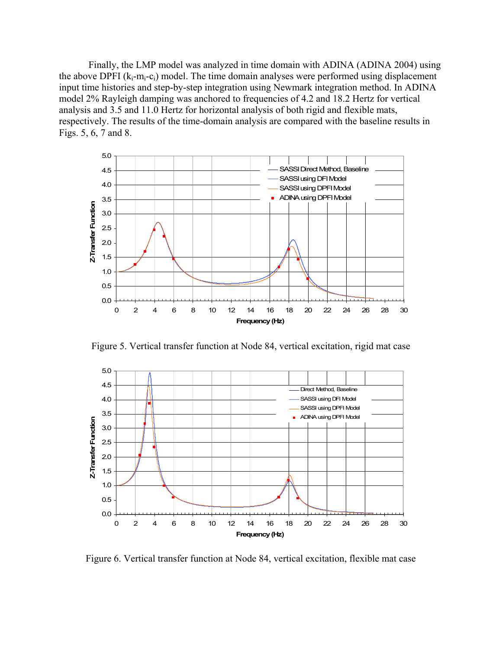Finally, the LMP model was analyzed in time domain with ADINA (ADINA 2004) using the above DPFI  $(k_i-m_i-c_i)$  model. The time domain analyses were performed using displacement input time histories and step-by-step integration using Newmark integration method. In ADINA model 2% Rayleigh damping was anchored to frequencies of 4.2 and 18.2 Hertz for vertical analysis and 3.5 and 11.0 Hertz for horizontal analysis of both rigid and flexible mats, respectively. The results of the time-domain analysis are compared with the baseline results in Figs. 5, 6, 7 and 8.



Figure 5. Vertical transfer function at Node 84, vertical excitation, rigid mat case



Figure 6. Vertical transfer function at Node 84, vertical excitation, flexible mat case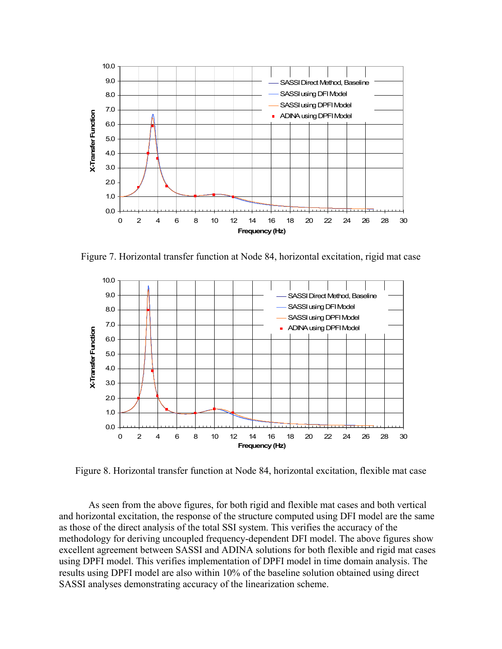

Figure 7. Horizontal transfer function at Node 84, horizontal excitation, rigid mat case



Figure 8. Horizontal transfer function at Node 84, horizontal excitation, flexible mat case

As seen from the above figures, for both rigid and flexible mat cases and both vertical and horizontal excitation, the response of the structure computed using DFI model are the same as those of the direct analysis of the total SSI system. This verifies the accuracy of the methodology for deriving uncoupled frequency-dependent DFI model. The above figures show excellent agreement between SASSI and ADINA solutions for both flexible and rigid mat cases using DPFI model. This verifies implementation of DPFI model in time domain analysis. The results using DPFI model are also within 10% of the baseline solution obtained using direct SASSI analyses demonstrating accuracy of the linearization scheme.